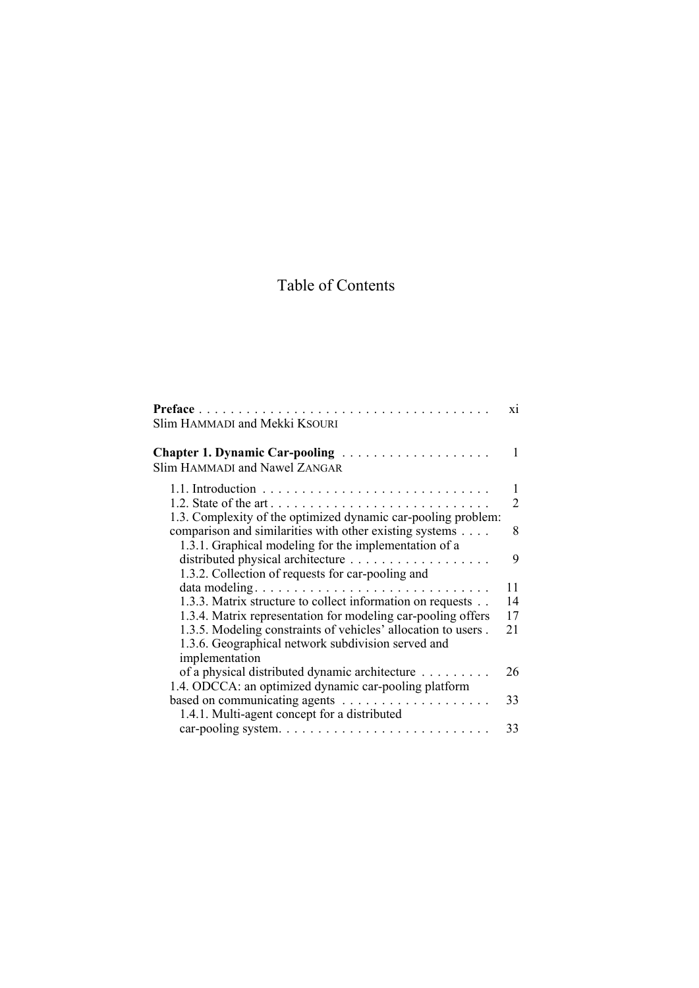## Table of Contents

| Slim HAMMADI and Mekki KSOURI                                                                                                         | X1 |
|---------------------------------------------------------------------------------------------------------------------------------------|----|
| <b>Chapter 1. Dynamic Car-pooling </b><br><b>Slim HAMMADI and Nawel ZANGAR</b>                                                        | 1  |
|                                                                                                                                       | 1  |
|                                                                                                                                       | 2  |
| 1.3. Complexity of the optimized dynamic car-pooling problem:                                                                         |    |
| comparison and similarities with other existing systems                                                                               | 8  |
| 1.3.1. Graphical modeling for the implementation of a                                                                                 |    |
|                                                                                                                                       | 9  |
| 1.3.2. Collection of requests for car-pooling and                                                                                     |    |
| data modeling                                                                                                                         | 11 |
| 1.3.3. Matrix structure to collect information on requests                                                                            | 14 |
| 1.3.4. Matrix representation for modeling car-pooling offers                                                                          | 17 |
| 1.3.5. Modeling constraints of vehicles' allocation to users.<br>1.3.6. Geographical network subdivision served and<br>implementation | 21 |
| of a physical distributed dynamic architecture                                                                                        | 26 |
| 1.4. ODCCA: an optimized dynamic car-pooling platform                                                                                 |    |
|                                                                                                                                       | 33 |
| 1.4.1. Multi-agent concept for a distributed                                                                                          |    |
|                                                                                                                                       | 33 |
|                                                                                                                                       |    |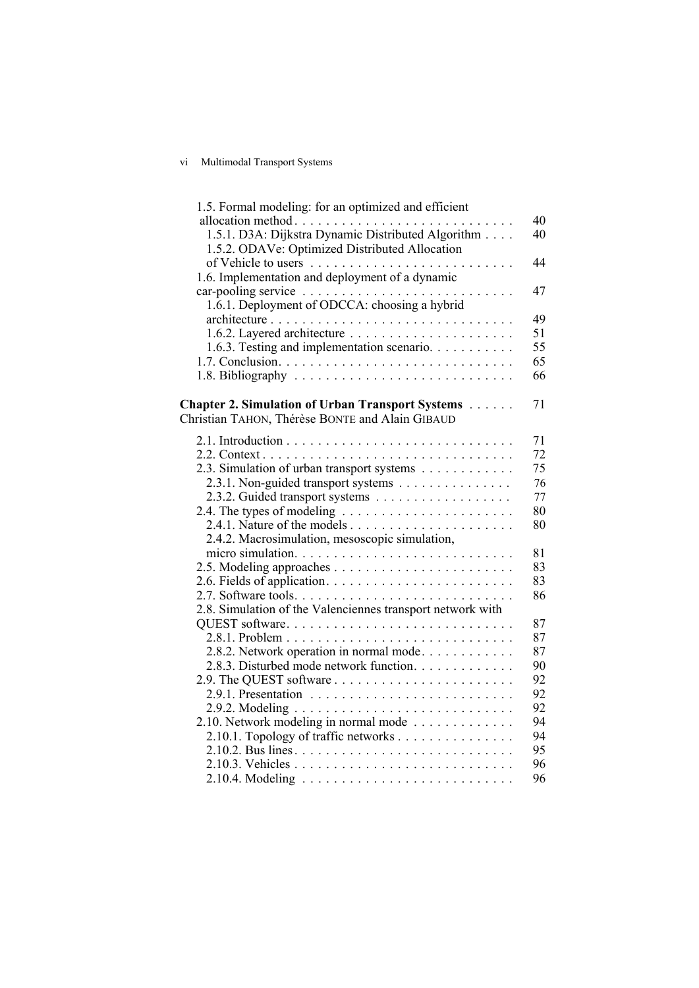## vi Multimodal Transport Systems

| 1.5. Formal modeling: for an optimized and efficient                                                 |    |
|------------------------------------------------------------------------------------------------------|----|
| allocation method                                                                                    | 40 |
| 1.5.1. D3A: Dijkstra Dynamic Distributed Algorithm<br>1.5.2. ODAVe: Optimized Distributed Allocation | 40 |
|                                                                                                      | 44 |
| 1.6. Implementation and deployment of a dynamic                                                      |    |
|                                                                                                      | 47 |
| 1.6.1. Deployment of ODCCA: choosing a hybrid                                                        |    |
| architecture                                                                                         | 49 |
|                                                                                                      | 51 |
| 1.6.3. Testing and implementation scenario.                                                          | 55 |
|                                                                                                      | 65 |
|                                                                                                      | 66 |
| <b>Chapter 2. Simulation of Urban Transport Systems</b>                                              | 71 |
| Christian TAHON, Thérèse BONTE and Alain GIBAUD                                                      |    |
|                                                                                                      | 71 |
|                                                                                                      | 72 |
| 2.3. Simulation of urban transport systems                                                           | 75 |
| 2.3.1. Non-guided transport systems                                                                  | 76 |
| 2.3.2. Guided transport systems                                                                      | 77 |
|                                                                                                      | 80 |
|                                                                                                      | 80 |
| 2.4.2. Macrosimulation, mesoscopic simulation,                                                       |    |
|                                                                                                      | 81 |
|                                                                                                      | 83 |
|                                                                                                      | 83 |
|                                                                                                      | 86 |
| 2.8. Simulation of the Valenciennes transport network with                                           |    |
| QUEST software                                                                                       | 87 |
|                                                                                                      | 87 |
| 2.8.2. Network operation in normal mode                                                              | 87 |
| 2.8.3. Disturbed mode network function.                                                              | 90 |
|                                                                                                      | 92 |
|                                                                                                      | 92 |
|                                                                                                      | 92 |
| 2.10. Network modeling in normal mode                                                                | 94 |
| 2.10.1. Topology of traffic networks                                                                 | 94 |
|                                                                                                      | 95 |
|                                                                                                      | 96 |
|                                                                                                      | 96 |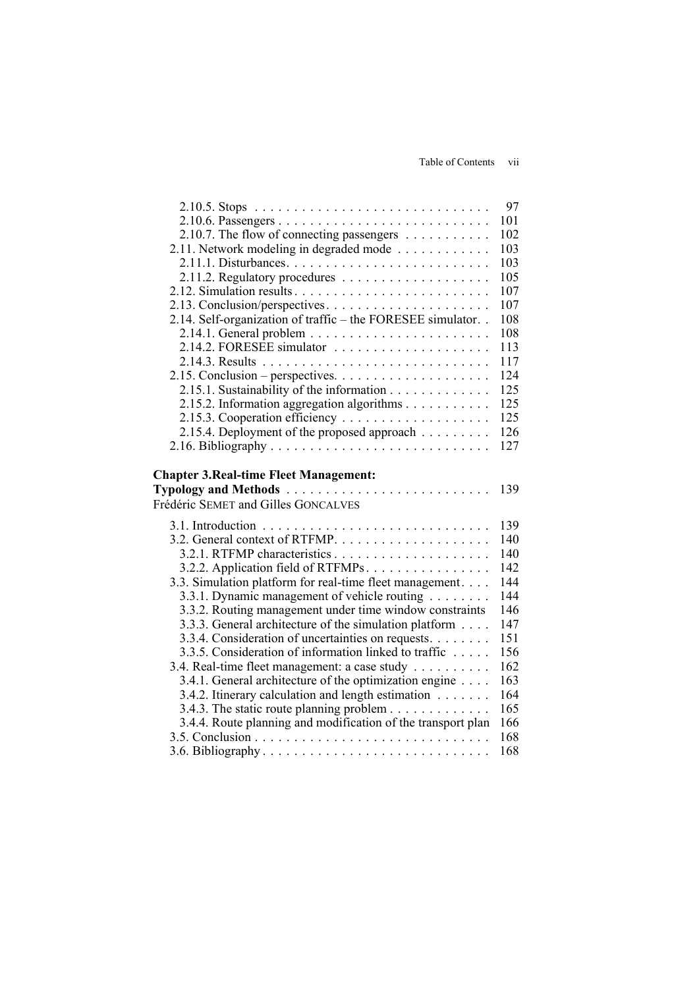|                                                                                              | 97         |
|----------------------------------------------------------------------------------------------|------------|
|                                                                                              | 101        |
| 2.10.7. The flow of connecting passengers                                                    | 102        |
| 2.11. Network modeling in degraded mode                                                      | 103        |
|                                                                                              | 103        |
|                                                                                              | 105        |
|                                                                                              | 107        |
|                                                                                              | 107        |
| 2.14. Self-organization of traffic - the FORESEE simulator. .                                | 108        |
|                                                                                              | 108        |
|                                                                                              | 113        |
|                                                                                              | 117        |
|                                                                                              | 124        |
| 2.15.1. Sustainability of the information                                                    | 125        |
| 2.15.2. Information aggregation algorithms                                                   | 125        |
|                                                                                              | 125        |
| 2.15.4. Deployment of the proposed approach                                                  | 126        |
|                                                                                              | 127        |
| <b>Chapter 3. Real-time Fleet Management:</b><br><b>Typology and Methods</b>                 |            |
|                                                                                              | 139        |
|                                                                                              |            |
|                                                                                              | 139        |
|                                                                                              | 140        |
|                                                                                              | 140        |
| 3.2.2. Application field of RTFMPs.                                                          | 142        |
| 3.3. Simulation platform for real-time fleet management.                                     | 144        |
| 3.3.1. Dynamic management of vehicle routing                                                 | 144        |
| 3.3.2. Routing management under time window constraints                                      | 146        |
| 3.3.3. General architecture of the simulation platform                                       | 147        |
| 3.3.4. Consideration of uncertainties on requests.                                           | 151        |
| Frédéric SEMET and Gilles GONCALVES<br>3.3.5. Consideration of information linked to traffic | 156        |
| 3.4. Real-time fleet management: a case study                                                | 162        |
| 3.4.1. General architecture of the optimization engine                                       | 163        |
| 3.4.2. Itinerary calculation and length estimation                                           | 164        |
| 3.4.3. The static route planning problem                                                     | 165        |
| 3.4.4. Route planning and modification of the transport plan                                 | 166<br>168 |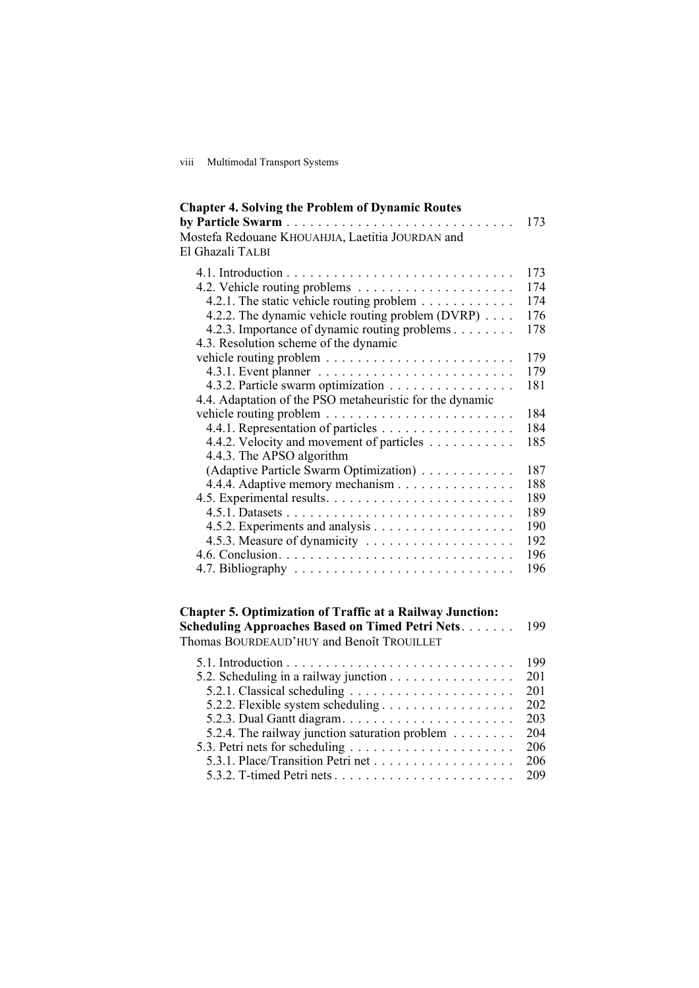viii Multimodal Transport Systems

| <b>Chapter 4. Solving the Problem of Dynamic Routes</b>       |     |
|---------------------------------------------------------------|-----|
|                                                               | 173 |
| Mostefa Redouane KHOUAHJIA, Laetitia JOURDAN and              |     |
| El Ghazali TALBI                                              |     |
|                                                               | 173 |
|                                                               | 174 |
| 4.2.1. The static vehicle routing problem $\dots \dots \dots$ | 174 |
| 4.2.2. The dynamic vehicle routing problem (DVRP)             | 176 |
| 4.2.3. Importance of dynamic routing problems                 | 178 |
| 4.3. Resolution scheme of the dynamic                         |     |
|                                                               | 179 |
|                                                               | 179 |
| 4.3.2. Particle swarm optimization                            | 181 |
| 4.4. Adaptation of the PSO metaheuristic for the dynamic      |     |
|                                                               | 184 |
| 4.4.1. Representation of particles                            | 184 |
| 4.4.2. Velocity and movement of particles                     | 185 |
| 4.4.3. The APSO algorithm                                     |     |
| (Adaptive Particle Swarm Optimization)                        | 187 |
| 4.4.4. Adaptive memory mechanism                              | 188 |
|                                                               | 189 |
|                                                               | 189 |
|                                                               | 190 |
|                                                               | 192 |
|                                                               | 196 |
|                                                               | 196 |
|                                                               |     |

## **Chapter 5. Optimization of Traffic at a Railway Junction: Scheduling Approaches Based on Timed Petri Nets** . . . . . . . 199 Thomas BOURDEAUD'HUY and Benoît TROUILLET

|                                                | -199 |
|------------------------------------------------|------|
|                                                | 201  |
|                                                | 201  |
|                                                | 202  |
|                                                | 203  |
| 5.2.4. The railway junction saturation problem | 204  |
|                                                | 206  |
|                                                | 206  |
|                                                | 209  |